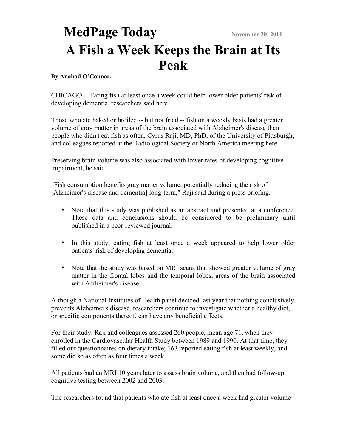## **MedPage Today** November 30, 2011 **A Fish a Week Keeps the Brain at Its Peak**

## **By Anahad O'Connor.**

CHICAGO -- Eating fish at least once a week could help lower older patients' risk of developing dementia, researchers said here.

Those who ate baked or broiled -- but not fried -- fish on a weekly basis had a greater volume of gray matter in areas of the brain associated with Alzheimer's disease than people who didn't eat fish as often, Cyrus Raji, MD, PhD, of the University of Pittsburgh, and colleagues reported at the Radiological Society of North America meeting here.

Preserving brain volume was also associated with lower rates of developing cognitive impairment, he said.

"Fish consumption benefits gray matter volume, potentially reducing the risk of [Alzheimer's disease and dementia] long-term," Raji said during a press briefing.

- Note that this study was published as an abstract and presented at a conference. These data and conclusions should be considered to be preliminary until published in a peer-reviewed journal.
- In this study, eating fish at least once a week appeared to help lower older patients' risk of developing dementia.
- Note that the study was based on MRI scans that showed greater volume of gray matter in the frontal lobes and the temporal lobes, areas of the brain associated with Alzheimer's disease

Although a National Institutes of Health panel decided last year that nothing conclusively prevents Alzheimer's disease, researchers continue to investigate whether a healthy diet, or specific components thereof, can have any beneficial effects.

For their study, Raji and colleagues assessed 260 people, mean age 71, when they enrolled in the Cardiovascular Health Study between 1989 and 1990. At that time, they filled out questionnaires on dietary intake; 163 reported eating fish at least weekly, and some did so as often as four times a week.

All patients had an MRI 10 years later to assess brain volume, and then had follow-up cognitive testing between 2002 and 2003.

The researchers found that patients who ate fish at least once a week had greater volume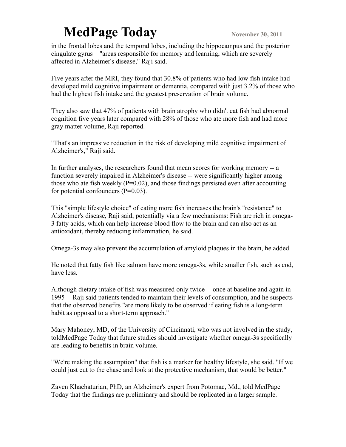## **MedPage Today** November 30, 2011

in the frontal lobes and the temporal lobes, including the hippocampus and the posterior cingulate gyrus – "areas responsible for memory and learning, which are severely affected in Alzheimer's disease," Raji said.

Five years after the MRI, they found that 30.8% of patients who had low fish intake had developed mild cognitive impairment or dementia, compared with just 3.2% of those who had the highest fish intake and the greatest preservation of brain volume.

They also saw that 47% of patients with brain atrophy who didn't eat fish had abnormal cognition five years later compared with 28% of those who ate more fish and had more gray matter volume, Raji reported.

"That's an impressive reduction in the risk of developing mild cognitive impairment of Alzheimer's," Raji said.

In further analyses, the researchers found that mean scores for working memory -- a function severely impaired in Alzheimer's disease -- were significantly higher among those who ate fish weekly  $(P=0.02)$ , and those findings persisted even after accounting for potential confounders  $(P=0.03)$ .

This "simple lifestyle choice" of eating more fish increases the brain's "resistance" to Alzheimer's disease, Raji said, potentially via a few mechanisms: Fish are rich in omega-3 fatty acids, which can help increase blood flow to the brain and can also act as an antioxidant, thereby reducing inflammation, he said.

Omega-3s may also prevent the accumulation of amyloid plaques in the brain, he added.

He noted that fatty fish like salmon have more omega-3s, while smaller fish, such as cod, have less.

Although dietary intake of fish was measured only twice -- once at baseline and again in 1995 -- Raji said patients tended to maintain their levels of consumption, and he suspects that the observed benefits "are more likely to be observed if eating fish is a long-term habit as opposed to a short-term approach."

Mary Mahoney, MD, of the University of Cincinnati, who was not involved in the study, toldMedPage Today that future studies should investigate whether omega-3s specifically are leading to benefits in brain volume.

"We're making the assumption" that fish is a marker for healthy lifestyle, she said. "If we could just cut to the chase and look at the protective mechanism, that would be better."

Zaven Khachaturian, PhD, an Alzheimer's expert from Potomac, Md., told MedPage Today that the findings are preliminary and should be replicated in a larger sample.